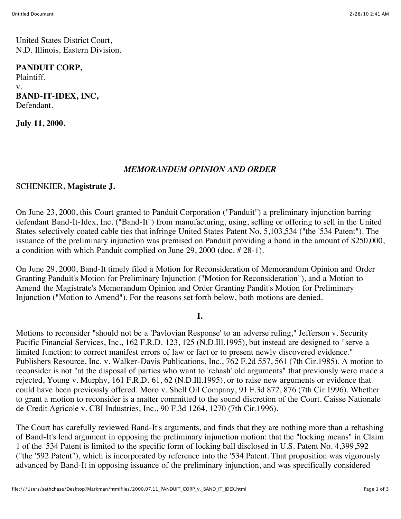United States District Court, N.D. Illinois, Eastern Division.

## **PANDUIT CORP,**

Plaintiff. v. **BAND-IT-IDEX, INC,** Defendant.

**July 11, 2000.**

## *MEMORANDUM OPINION AND ORDER*

### SCHENKIER**, Magistrate J.**

On June 23, 2000, this Court granted to Panduit Corporation ("Panduit") a preliminary injunction barring defendant Band-It-Idex, Inc. ("Band-It") from manufacturing, using, selling or offering to sell in the United States selectively coated cable ties that infringe United States Patent No. 5,103,534 ("the '534 Patent"). The issuance of the preliminary injunction was premised on Panduit providing a bond in the amount of \$250,000, a condition with which Panduit complied on June 29, 2000 (doc. # 28-1).

On June 29, 2000, Band-It timely filed a Motion for Reconsideration of Memorandum Opinion and Order Granting Panduit's Motion for Preliminary Injunction ("Motion for Reconsideration"), and a Motion to Amend the Magistrate's Memorandum Opinion and Order Granting Pandit's Motion for Preliminary Injunction ("Motion to Amend"). For the reasons set forth below, both motions are denied.

#### **I.**

Motions to reconsider "should not be a 'Pavlovian Response' to an adverse ruling," Jefferson v. Security Pacific Financial Services, Inc., 162 F.R.D. 123, 125 (N.D.Ill.1995), but instead are designed to "serve a limited function: to correct manifest errors of law or fact or to present newly discovered evidence." Publishers Resource, Inc. v. Walker-Davis Publications, Inc., 762 F.2d 557, 561 (7th Cir.1985). A motion to reconsider is not "at the disposal of parties who want to 'rehash' old arguments" that previously were made a rejected, Young v. Murphy, 161 F.R.D. 61, 62 (N.D.Ill.1995), or to raise new arguments or evidence that could have been previously offered. Moro v. Shell Oil Company, 91 F.3d 872, 876 (7th Cir.1996). Whether to grant a motion to reconsider is a matter committed to the sound discretion of the Court. Caisse Nationale de Credit Agricole v. CBI Industries, Inc., 90 F.3d 1264, 1270 (7th Cir.1996).

The Court has carefully reviewed Band-It's arguments, and finds that they are nothing more than a rehashing of Band-It's lead argument in opposing the preliminary injunction motion: that the "locking means" in Claim 1 of the '534 Patent is limited to the specific form of locking ball disclosed in U.S. Patent No. 4,399,592 ("the '592 Patent"), which is incorporated by reference into the '534 Patent. That proposition was vigorously advanced by Band-It in opposing issuance of the preliminary injunction, and was specifically considered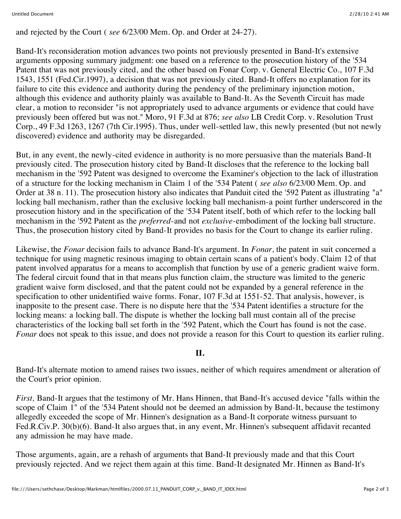and rejected by the Court ( *see* 6/23/00 Mem. Op. and Order at 24-27).

Band-It's reconsideration motion advances two points not previously presented in Band-It's extensive arguments opposing summary judgment: one based on a reference to the prosecution history of the '534 Patent that was not previously cited, and the other based on Fonar Corp. v. General Electric Co., 107 F.3d 1543, 1551 (Fed.Cir.1997), a decision that was not previously cited. Band-It offers no explanation for its failure to cite this evidence and authority during the pendency of the preliminary injunction motion, although this evidence and authority plainly was available to Band-It. As the Seventh Circuit has made clear, a motion to reconsider "is not appropriately used to advance arguments or evidence that could have previously been offered but was not." Moro, 91 F.3d at 876; *see also* LB Credit Corp. v. Resolution Trust Corp., 49 F.3d 1263, 1267 (7th Cir.1995). Thus, under well-settled law, this newly presented (but not newly discovered) evidence and authority may be disregarded.

But, in any event, the newly-cited evidence in authority is no more persuasive than the materials Band-It previously cited. The prosecution history cited by Band-It discloses that the reference to the locking ball mechanism in the '592 Patent was designed to overcome the Examiner's objection to the lack of illustration of a structure for the locking mechanism in Claim 1 of the '534 Patent ( *see also* 6/23/00 Mem. Op. and Order at 38 n. 11). The prosecution history also indicates that Panduit cited the '592 Patent as illustrating "a" locking ball mechanism, rather than the exclusive locking ball mechanism-a point further underscored in the prosecution history and in the specification of the '534 Patent itself, both of which refer to the locking ball mechanism in the '592 Patent as the *preferred*-and not *exclusive*-embodiment of the locking ball structure. Thus, the prosecution history cited by Band-It provides no basis for the Court to change its earlier ruling.

Likewise, the *Fonar* decision fails to advance Band-It's argument. In *Fonar,* the patent in suit concerned a technique for using magnetic resinous imaging to obtain certain scans of a patient's body. Claim 12 of that patent involved apparatus for a means to accomplish that function by use of a generic gradient waive form. The federal circuit found that in that means plus function claim, the structure was limited to the generic gradient waive form disclosed, and that the patent could not be expanded by a general reference in the specification to other unidentified waive forms. Fonar, 107 F.3d at 1551-52. That analysis, however, is inapposite to the present case. There is no dispute here that the '534 Patent identifies a structure for the locking means: a locking ball. The dispute is whether the locking ball must contain all of the precise characteristics of the locking ball set forth in the '592 Patent, which the Court has found is not the case. *Fonar* does not speak to this issue, and does not provide a reason for this Court to question its earlier ruling.

### **II.**

Band-It's alternate motion to amend raises two issues, neither of which requires amendment or alteration of the Court's prior opinion.

*First,* Band-It argues that the testimony of Mr. Hans Hinnen, that Band-It's accused device "falls within the scope of Claim 1" of the '534 Patent should not be deemed an admission by Band-It, because the testimony allegedly exceeded the scope of Mr. Hinnen's designation as a Band-It corporate witness pursuant to Fed.R.Civ.P. 30(b)(6). Band-It also argues that, in any event, Mr. Hinnen's subsequent affidavit recanted any admission he may have made.

Those arguments, again, are a rehash of arguments that Band-It previously made and that this Court previously rejected. And we reject them again at this time. Band-It designated Mr. Hinnen as Band-It's